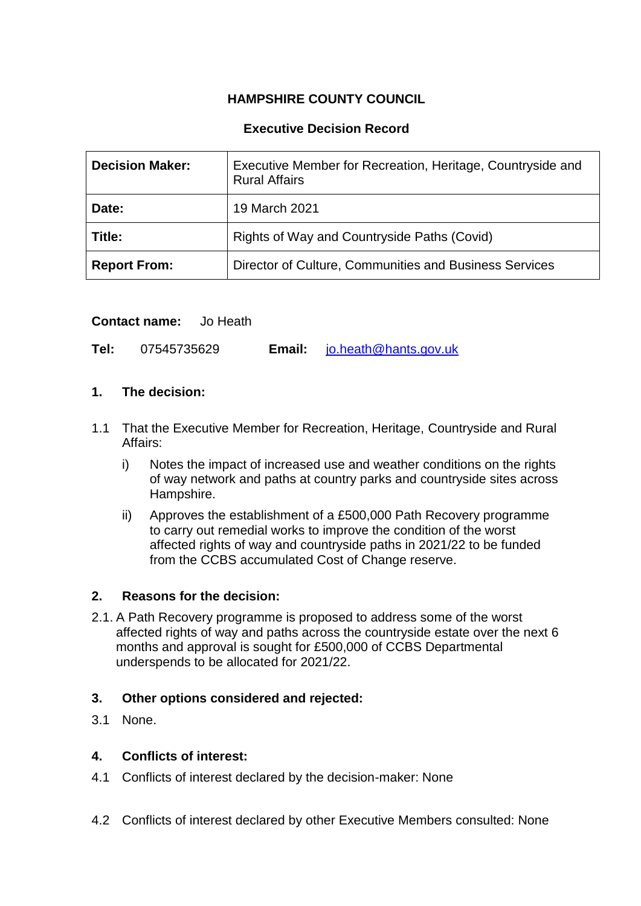# **HAMPSHIRE COUNTY COUNCIL**

# **Executive Decision Record**

| <b>Decision Maker:</b> | Executive Member for Recreation, Heritage, Countryside and<br><b>Rural Affairs</b> |
|------------------------|------------------------------------------------------------------------------------|
| Date:                  | 19 March 2021                                                                      |
| Title:                 | Rights of Way and Countryside Paths (Covid)                                        |
| <b>Report From:</b>    | Director of Culture, Communities and Business Services                             |

# **Contact name:** Jo Heath

**Tel:** 07545735629 **Email:** [jo.heath@hants.gov.uk](mailto:jo.heath@hants.gov.uk)

# **1. The decision:**

- 1.1 That the Executive Member for Recreation, Heritage, Countryside and Rural Affairs:
	- i) Notes the impact of increased use and weather conditions on the rights of way network and paths at country parks and countryside sites across Hampshire.
	- ii) Approves the establishment of a £500,000 Path Recovery programme to carry out remedial works to improve the condition of the worst affected rights of way and countryside paths in 2021/22 to be funded from the CCBS accumulated Cost of Change reserve.

# **2. Reasons for the decision:**

2.1. A Path Recovery programme is proposed to address some of the worst affected rights of way and paths across the countryside estate over the next 6 months and approval is sought for £500,000 of CCBS Departmental underspends to be allocated for 2021/22.

# **3. Other options considered and rejected:**

3.1 None.

# **4. Conflicts of interest:**

- 4.1 Conflicts of interest declared by the decision-maker: None
- 4.2 Conflicts of interest declared by other Executive Members consulted: None